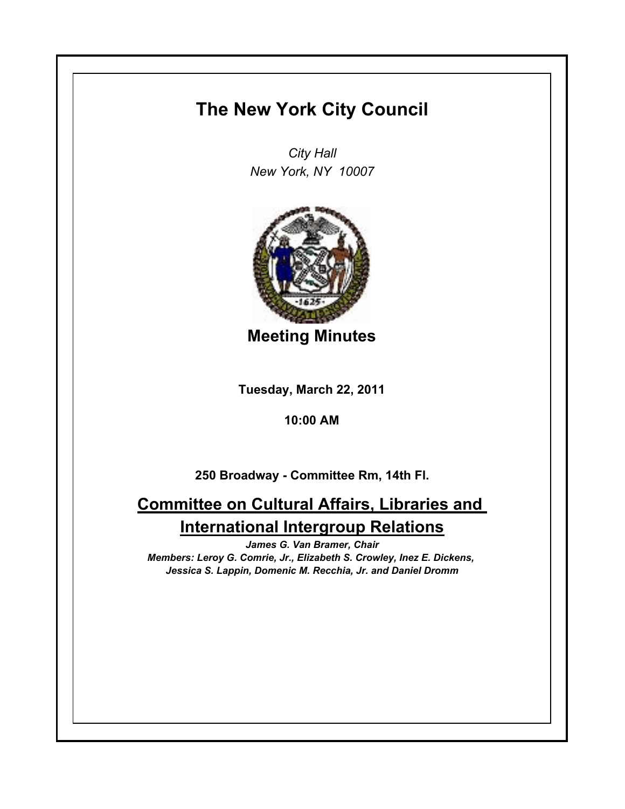## **The New York City Council**

*City Hall New York, NY 10007*



**Meeting Minutes**

**Tuesday, March 22, 2011**

**10:00 AM**

**250 Broadway - Committee Rm, 14th Fl.**

## **Committee on Cultural Affairs, Libraries and International Intergroup Relations**

*James G. Van Bramer, Chair Members: Leroy G. Comrie, Jr., Elizabeth S. Crowley, Inez E. Dickens, Jessica S. Lappin, Domenic M. Recchia, Jr. and Daniel Dromm*